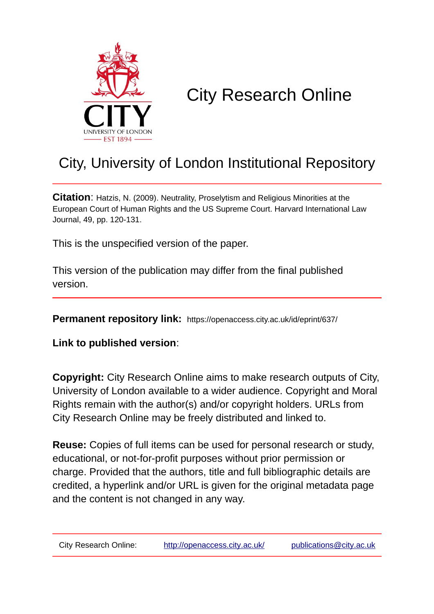

# City Research Online

## City, University of London Institutional Repository

**Citation**: Hatzis, N. (2009). Neutrality, Proselytism and Religious Minorities at the European Court of Human Rights and the US Supreme Court. Harvard International Law Journal, 49, pp. 120-131.

This is the unspecified version of the paper.

This version of the publication may differ from the final published version.

**Permanent repository link:** https://openaccess.city.ac.uk/id/eprint/637/

**Link to published version**:

**Copyright:** City Research Online aims to make research outputs of City, University of London available to a wider audience. Copyright and Moral Rights remain with the author(s) and/or copyright holders. URLs from City Research Online may be freely distributed and linked to.

**Reuse:** Copies of full items can be used for personal research or study, educational, or not-for-profit purposes without prior permission or charge. Provided that the authors, title and full bibliographic details are credited, a hyperlink and/or URL is given for the original metadata page and the content is not changed in any way.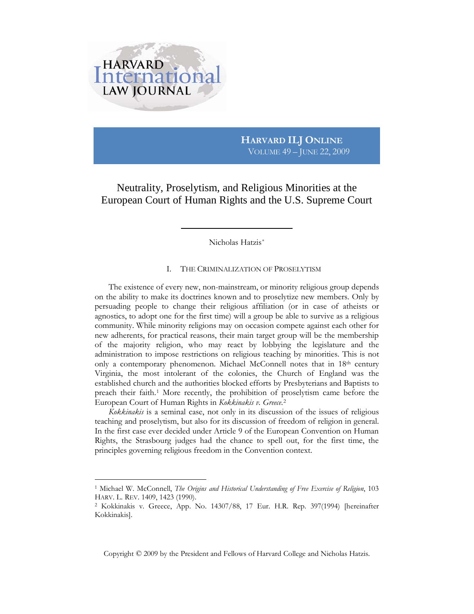

 $\overline{a}$ 

### **HARVARD ILJ ONLINE** VOLUME 49 – JUNE 22, 2009

Neutrality, Proselytism, and Religious Minorities at the European Court of Human Rights and the U.S. Supreme Court

<span id="page-1-2"></span>Nicholas Hatzis[\\*](#page-12-0)

#### I. THE CRIMINALIZATION OF PROSELYTISM

The existence of every new, non-mainstream, or minority religious group depends on the ability to make its doctrines known and to proselytize new members. Only by persuading people to change their religious affiliation (or in case of atheists or agnostics, to adopt one for the first time) will a group be able to survive as a religious community. While minority religions may on occasion compete against each other for new adherents, for practical reasons, their main target group will be the membership of the majority religion, who may react by lobbying the legislature and the administration to impose restrictions on religious teaching by minorities. This is not only a contemporary phenomenon. Michael McConnell notes that in 18th century Virginia, the most intolerant of the colonies, the Church of England was the established church and the authorities blocked efforts by Presbyterians and Baptists to preach their faith.[1](#page-1-0) More recently, the prohibition of proselytism came before the European Court of Human Rights in *Kokkinakis v. Greece*.[2](#page-1-1)

*Kokkinakis* is a seminal case, not only in its discussion of the issues of religious teaching and proselytism, but also for its discussion of freedom of religion in general. In the first case ever decided under Article 9 of the European Convention on Human Rights, the Strasbourg judges had the chance to spell out, for the first time, the principles governing religious freedom in the Convention context.

Copyright © 2009 by the President and Fellows of Harvard College and Nicholas Hatzis.

<span id="page-1-0"></span><sup>1</sup> Michael W. McConnell, *The Origins and Historical Understanding of Free Exercise of Religion*, 103 HARV. L. REV. 1409, 1423 (1990).

<span id="page-1-1"></span><sup>2</sup> Kokkinakis v. Greece, App. No. 14307/88, 17 Eur. H.R. Rep. 397(1994) [hereinafter Kokkinakis].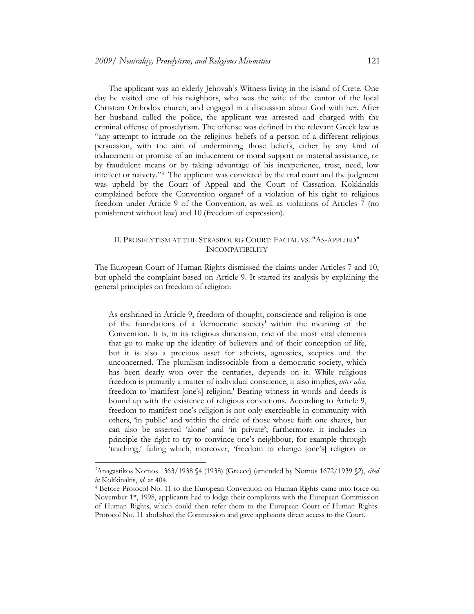The applicant was an elderly Jehovah's Witness living in the island of Crete. One day he visited one of his neighbors, who was the wife of the cantor of the local Christian Orthodox church, and engaged in a discussion about God with her. After her husband called the police, the applicant was arrested and charged with the criminal offense of proselytism. The offense was defined in the relevant Greek law as "any attempt to intrude on the religious beliefs of a person of a different religious persuasion, with the aim of undermining those beliefs, either by any kind of inducement or promise of an inducement or moral support or material assistance, or by fraudulent means or by taking advantage of his inexperience, trust, need, low intellect or naivety."[3](#page-2-0) The applicant was convicted by the trial court and the judgment was upheld by the Court of Appeal and the Court of Cassation. Kokkinakis complained before the Convention organs<sup>[4](#page-2-1)</sup> of a violation of his right to religious freedom under Article 9 of the Convention, as well as violations of Articles 7 (no punishment without law) and 10 (freedom of expression).

#### II. PROSELYTISM AT THE STRASBOURG COURT: FACIAL VS. "AS-APPLIED" INCOMPATIBILITY

The European Court of Human Rights dismissed the claims under Articles 7 and 10, but upheld the complaint based on Article 9. It started its analysis by explaining the general principles on freedom of religion:

As enshrined in Article 9, freedom of thought, conscience and religion is one of the foundations of a 'democratic society' within the meaning of the Convention. It is, in its religious dimension, one of the most vital elements that go to make up the identity of believers and of their conception of life, but it is also a precious asset for atheists, agnostics, sceptics and the unconcerned. The pluralism indissociable from a democratic society, which has been dearly won over the centuries, depends on it. While religious freedom is primarily a matter of individual conscience, it also implies, *inter alia*, freedom to 'manifest [one's] religion.' Bearing witness in words and deeds is bound up with the existence of religious convictions. According to Article 9, freedom to manifest one's religion is not only exercisable in community with others, 'in public' and within the circle of those whose faith one shares, but can also be asserted 'alone' and 'in private'; furthermore, it includes in principle the right to try to convince one's neighbour, for example through 'teaching,' failing which, moreover, 'freedom to change [one's] religion or

<span id="page-2-0"></span>*<sup>3</sup>* Anagastikos Nomos 1363/1938 §4 (1938) (Greece) (amended by Nomos 1672/1939 §2), *cited in* Kokkinakis, *id*. at 404.

<span id="page-2-1"></span><sup>4</sup> Before Protocol No. 11 to the European Convention on Human Rights came into force on November 1<sup>st</sup>, 1998, applicants had to lodge their complaints with the European Commission of Human Rights, which could then refer them to the European Court of Human Rights. Protocol No. 11 abolished the Commission and gave applicants direct access to the Court.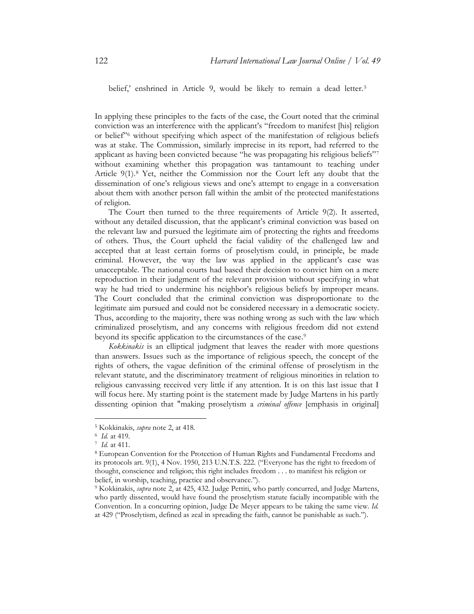belief,' enshrined in Article 9, would be likely to remain a dead letter.<sup>[5](#page-3-0)</sup>

In applying these principles to the facts of the case, the Court noted that the criminal conviction was an interference with the applicant's "freedom to manifest [his] religion or belief<sup>7[6](#page-3-1)</sup> without specifying which aspect of the manifestation of religious beliefs was at stake. The Commission, similarly imprecise in its report, had referred to the applicant as having been convicted because "he was propagating his religious beliefs"[7](#page-3-2) without examining whether this propagation was tantamount to teaching under Article 9(1).<sup>[8](#page-3-3)</sup> Yet, neither the Commission nor the Court left any doubt that the dissemination of one's religious views and one's attempt to engage in a conversation about them with another person fall within the ambit of the protected manifestations of religion.

The Court then turned to the three requirements of Article 9(2). It asserted, without any detailed discussion, that the applicant's criminal conviction was based on the relevant law and pursued the legitimate aim of protecting the rights and freedoms of others. Thus, the Court upheld the facial validity of the challenged law and accepted that at least certain forms of proselytism could, in principle, be made criminal. However, the way the law was applied in the applicant's case was unacceptable. The national courts had based their decision to convict him on a mere reproduction in their judgment of the relevant provision without specifying in what way he had tried to undermine his neighbor's religious beliefs by improper means. The Court concluded that the criminal conviction was disproportionate to the legitimate aim pursued and could not be considered necessary in a democratic society. Thus, according to the majority, there was nothing wrong as such with the law which criminalized proselytism, and any concerns with religious freedom did not extend beyond its specific application to the circumstances of the case. [9](#page-3-4)

*Kokkinakis* is an elliptical judgment that leaves the reader with more questions than answers. Issues such as the importance of religious speech, the concept of the rights of others, the vague definition of the criminal offense of proselytism in the relevant statute, and the discriminatory treatment of religious minorities in relation to religious canvassing received very little if any attention. It is on this last issue that I will focus here. My starting point is the statement made by Judge Martens in his partly dissenting opinion that "making proselytism a *criminal offence* [emphasis in original]

<span id="page-3-0"></span><sup>5</sup> Kokkinakis, *supra* note [2,](#page-1-2) at 418.

<span id="page-3-2"></span><span id="page-3-1"></span><sup>6</sup> *Id.* at 419.

<sup>7</sup> *Id.* at 411.

<span id="page-3-3"></span><sup>8</sup> European Convention for the Protection of Human Rights and Fundamental Freedoms and its protocols art. 9(1), 4 Nov. 1950, 213 U.N.T.S. 222. ("Everyone has the right to freedom of thought, conscience and religion; this right includes freedom . . . to manifest his religion or belief, in worship, teaching, practice and observance.").

<span id="page-3-4"></span><sup>9</sup> Kokkinakis, *supra* note [2,](#page-1-2) at 425, 432. Judge Pettiti, who partly concurred, and Judge Martens, who partly dissented, would have found the proselytism statute facially incompatible with the Convention. In a concurring opinion, Judge De Meyer appears to be taking the same view. *Id.*  at 429 ("Proselytism, defined as zeal in spreading the faith, cannot be punishable as such.").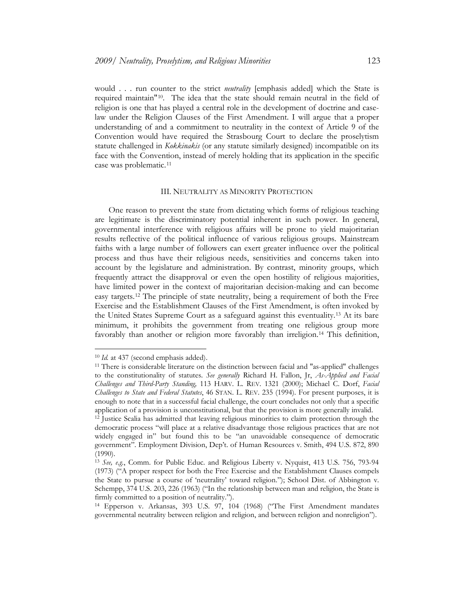would . . . run counter to the strict *neutrality* [emphasis added] which the State is required maintain"[10](#page-4-0). The idea that the state should remain neutral in the field of religion is one that has played a central role in the development of doctrine and caselaw under the Religion Clauses of the First Amendment. I will argue that a proper understanding of and a commitment to neutrality in the context of Article 9 of the Convention would have required the Strasbourg Court to declare the proselytism statute challenged in *Kokkinakis* (or any statute similarly designed) incompatible on its face with the Convention, instead of merely holding that its application in the specific case was problematic.<sup>[11](#page-4-1)</sup>

#### III. NEUTRALITY AS MINORITY PROTECTION

One reason to prevent the state from dictating which forms of religious teaching are legitimate is the discriminatory potential inherent in such power. In general, governmental interference with religious affairs will be prone to yield majoritarian results reflective of the political influence of various religious groups. Mainstream faiths with a large number of followers can exert greater influence over the political process and thus have their religious needs, sensitivities and concerns taken into account by the legislature and administration. By contrast, minority groups, which frequently attract the disapproval or even the open hostility of religious majorities, have limited power in the context of majoritarian decision-making and can become easy targets.[12](#page-4-2) The principle of state neutrality, being a requirement of both the Free Exercise and the Establishment Clauses of the First Amendment, is often invoked by the United States Supreme Court as a safeguard against this eventuality.[13](#page-4-3) At its bare minimum, it prohibits the government from treating one religious group more favorably than another or religion more favorably than irreligion.[14](#page-4-4) This definition,

<sup>10</sup> *Id.* at 437 (second emphasis added).

<span id="page-4-1"></span><span id="page-4-0"></span><sup>11</sup> There is considerable literature on the distinction between facial and "as-applied" challenges to the constitutionality of statutes. *See generally* Richard H. Fallon, Jr, *As-Applied and Facial Challenges and Third-Party Standing,* 113 HARV. L. REV. 1321 (2000); Michael C. Dorf, *Facial Challenges to State and Federal Statutes*, 46 STAN. L. REV. 235 (1994). For present purposes, it is enough to note that in a successful facial challenge, the court concludes not only that a specific application of a provision is unconstitutional, but that the provision is more generally invalid.

<span id="page-4-2"></span><sup>12</sup> Justice Scalia has admitted that leaving religious minorities to claim protection through the democratic process "will place at a relative disadvantage those religious practices that are not widely engaged in" but found this to be "an unavoidable consequence of democratic government". Employment Division, Dep't. of Human Resources v. Smith, 494 U.S. 872, 890  $(1990).$ 

<span id="page-4-3"></span><sup>13</sup> *See, e.g.*, Comm. for Public Educ. and Religious Liberty v. Nyquist, 413 U.S. 756, 793-94 (1973) ("A proper respect for both the Free Exercise and the Establishment Clauses compels the State to pursue a course of 'neutrality' toward religion."); School Dist. of Abbington v. Schempp, 374 U.S. 203, 226 (1963) ("In the relationship between man and religion, the State is firmly committed to a position of neutrality.").

<span id="page-4-4"></span><sup>14</sup> Epperson v. Arkansas, 393 U.S. 97, 104 (1968) ("The First Amendment mandates governmental neutrality between religion and religion, and between religion and nonreligion").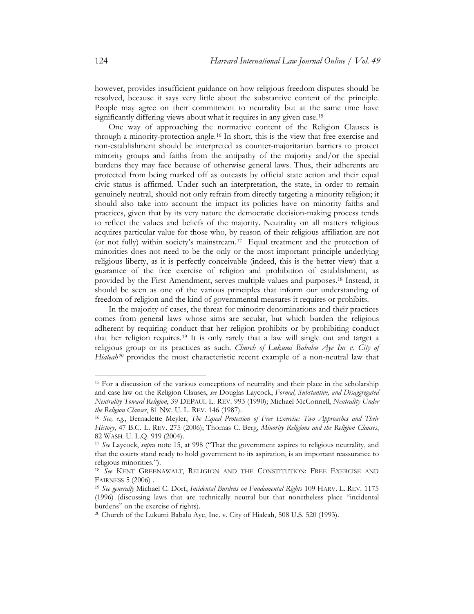however, provides insufficient guidance on how religious freedom disputes should be resolved, because it says very little about the substantive content of the principle. People may agree on their commitment to neutrality but at the same time have significantly differing views about what it requires in any given case.<sup>[15](#page-5-1)</sup>

<span id="page-5-8"></span><span id="page-5-0"></span>One way of approaching the normative content of the Religion Clauses is through a minority-protection angle.[16](#page-5-2) In short, this is the view that free exercise and non-establishment should be interpreted as counter-majoritarian barriers to protect minority groups and faiths from the antipathy of the majority and/or the special burdens they may face because of otherwise general laws. Thus, their adherents are protected from being marked off as outcasts by official state action and their equal civic status is affirmed. Under such an interpretation, the state, in order to remain genuinely neutral, should not only refrain from directly targeting a minority religion; it should also take into account the impact its policies have on minority faiths and practices, given that by its very nature the democratic decision-making process tends to reflect the values and beliefs of the majority. Neutrality on all matters religious acquires particular value for those who, by reason of their religious affiliation are not (or not fully) within society's mainstream.[17](#page-5-3) Equal treatment and the protection of minorities does not need to be the only or the most important principle underlying religious liberty, as it is perfectly conceivable (indeed, this is the better view) that a guarantee of the free exercise of religion and prohibition of establishment, as provided by the First Amendment, serves multiple values and purposes.[18](#page-5-4) Instead, it should be seen as one of the various principles that inform our understanding of freedom of religion and the kind of governmental measures it requires or prohibits.

<span id="page-5-7"></span>In the majority of cases, the threat for minority denominations and their practices comes from general laws whose aims are secular, but which burden the religious adherent by requiring conduct that her religion prohibits or by prohibiting conduct that her religion requires. [19](#page-5-5) It is only rarely that a law will single out and target a religious group or its practices as such. *Church of Lukumi Bababu Aye Inc v. City of*  Hialeah<sup>[20](#page-5-6)</sup> provides the most characteristic recent example of a non-neutral law that

<span id="page-5-1"></span><sup>&</sup>lt;sup>15</sup> For a discussion of the various conceptions of neutrality and their place in the scholarship and case law on the Religion Clauses, *see* Douglas Laycock, *Formal, Substantive, and Disaggregated Neutrality Toward Religion*, 39 DEPAUL L. REV. 993 (1990); Michael McConnell, *Neutrality Under the Religion Clauses*, 81 NW. U. L. REV. 146 (1987).

<span id="page-5-2"></span><sup>16</sup> *See, e.g.*, Bernadette Meyler, *The Equal Protection of Free Exercise: Two Approaches and Their History*, 47 B.C. L. REV. 275 (2006); Thomas C. Berg, *Minority Religions and the Religion Clauses*, 82 WASH. U. L.Q. 919 (2004).

<span id="page-5-3"></span><sup>17</sup> *See* Laycock, *supra* note [15,](#page-5-0) at 998 ("That the government aspires to religious neutrality, and that the courts stand ready to hold government to its aspiration, is an important reassurance to religious minorities.").

<span id="page-5-4"></span><sup>18</sup> *See* KENT GREENAWALT, RELIGION AND THE CONSTITUTION: FREE EXERCISE AND FAIRNESS 5 (2006) . 19 *See generally* Michael C. Dorf, *Incidental Burdens on Fundamental Rights* 109 HARV. L. REV. 1175

<span id="page-5-5"></span><sup>(1996) (</sup>discussing laws that are technically neutral but that nonetheless place "incidental burdens" on the exercise of rights).

<span id="page-5-6"></span><sup>20</sup> Church of the Lukumi Babalu Aye, Inc. v. City of Hialeah, 508 U.S. 520 (1993).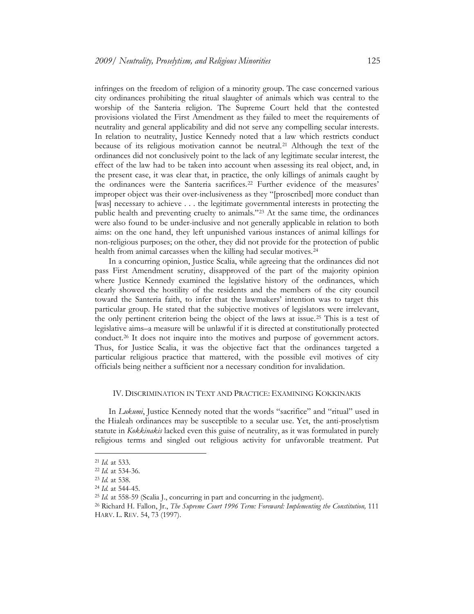infringes on the freedom of religion of a minority group. The case concerned various city ordinances prohibiting the ritual slaughter of animals which was central to the worship of the Santeria religion. The Supreme Court held that the contested provisions violated the First Amendment as they failed to meet the requirements of neutrality and general applicability and did not serve any compelling secular interests. In relation to neutrality, Justice Kennedy noted that a law which restricts conduct because of its religious motivation cannot be neutral.[21](#page-6-0) Although the text of the ordinances did not conclusively point to the lack of any legitimate secular interest, the effect of the law had to be taken into account when assessing its real object, and, in the present case, it was clear that, in practice, the only killings of animals caught by the ordinances were the Santeria sacrifices.<sup>[22](#page-6-1)</sup> Further evidence of the measures' improper object was their over-inclusiveness as they "[proscribed] more conduct than [was] necessary to achieve . . . the legitimate governmental interests in protecting the public health and preventing cruelty to animals."[23](#page-6-2) At the same time, the ordinances were also found to be under-inclusive and not generally applicable in relation to both aims: on the one hand, they left unpunished various instances of animal killings for non-religious purposes; on the other, they did not provide for the protection of public health from animal carcasses when the killing had secular motives.<sup>[24](#page-6-3)</sup>

In a concurring opinion, Justice Scalia, while agreeing that the ordinances did not pass First Amendment scrutiny, disapproved of the part of the majority opinion where Justice Kennedy examined the legislative history of the ordinances, which clearly showed the hostility of the residents and the members of the city council toward the Santeria faith, to infer that the lawmakers' intention was to target this particular group. He stated that the subjective motives of legislators were irrelevant, the only pertinent criterion being the object of the laws at issue.[25](#page-6-4) This is a test of legislative aims–a measure will be unlawful if it is directed at constitutionally protected conduct.[26](#page-6-5) It does not inquire into the motives and purpose of government actors. Thus, for Justice Scalia, it was the objective fact that the ordinances targeted a particular religious practice that mattered, with the possible evil motives of city officials being neither a sufficient nor a necessary condition for invalidation.

#### IV. DISCRIMINATION IN TEXT AND PRACTICE: EXAMINING KOKKINAKIS

In *Lukumi*, Justice Kennedy noted that the words "sacrifice" and "ritual" used in the Hialeah ordinances may be susceptible to a secular use. Yet, the anti-proselytism statute in *Kokkinakis* lacked even this guise of neutrality, as it was formulated in purely religious terms and singled out religious activity for unfavorable treatment. Put

<sup>21</sup> *Id.* at 533.

<span id="page-6-2"></span><span id="page-6-1"></span><span id="page-6-0"></span><sup>22</sup> *Id.* at 534-36.

<sup>23</sup> *Id.* at 538.

<span id="page-6-3"></span><sup>24</sup> *Id.* at 544-45.

<span id="page-6-4"></span><sup>25</sup> *Id.* at 558-59 (Scalia J., concurring in part and concurring in the judgment).

<span id="page-6-5"></span><sup>26</sup> Richard H. Fallon, Jr., *The Supreme Court 1996 Term: Foreward: Implementing the Constitution,* 111 HARV. L. REV. 54, 73 (1997).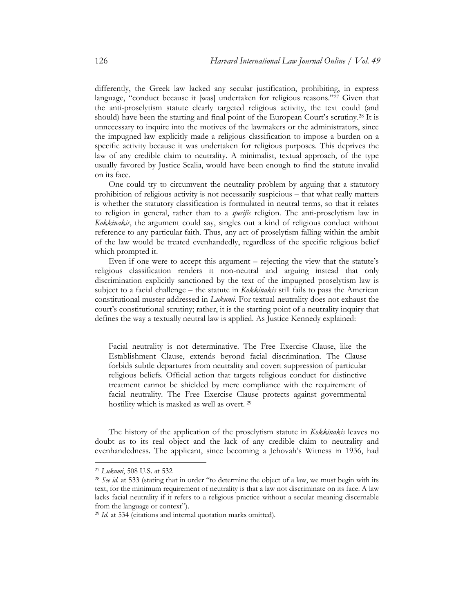differently, the Greek law lacked any secular justification, prohibiting, in express language, "conduct because it [was] undertaken for religious reasons."<sup>[27](#page-7-0)</sup> Given that the anti-proselytism statute clearly targeted religious activity, the text could (and should) have been the starting and final point of the European Court's scrutiny.<sup>[28](#page-7-1)</sup> It is unnecessary to inquire into the motives of the lawmakers or the administrators, since the impugned law explicitly made a religious classification to impose a burden on a specific activity because it was undertaken for religious purposes. This deprives the law of any credible claim to neutrality. A minimalist, textual approach, of the type usually favored by Justice Scalia, would have been enough to find the statute invalid on its face.

One could try to circumvent the neutrality problem by arguing that a statutory prohibition of religious activity is not necessarily suspicious – that what really matters is whether the statutory classification is formulated in neutral terms, so that it relates to religion in general, rather than to a *specific* religion. The anti-proselytism law in *Kokkinakis*, the argument could say, singles out a kind of religious conduct without reference to any particular faith. Thus, any act of proselytism falling within the ambit of the law would be treated evenhandedly, regardless of the specific religious belief which prompted it.

Even if one were to accept this argument – rejecting the view that the statute's religious classification renders it non-neutral and arguing instead that only discrimination explicitly sanctioned by the text of the impugned proselytism law is subject to a facial challenge – the statute in *Kokkinakis* still fails to pass the American constitutional muster addressed in *Lukumi*. For textual neutrality does not exhaust the court's constitutional scrutiny; rather, it is the starting point of a neutrality inquiry that defines the way a textually neutral law is applied. As Justice Kennedy explained:

Facial neutrality is not determinative. The Free Exercise Clause, like the Establishment Clause, extends beyond facial discrimination. The Clause forbids subtle departures from neutrality and covert suppression of particular religious beliefs. Official action that targets religious conduct for distinctive treatment cannot be shielded by mere compliance with the requirement of facial neutrality. The Free Exercise Clause protects against governmental hostility which is masked as well as overt. [29](#page-7-2)

The history of the application of the proselytism statute in *Kokkinakis* leaves no doubt as to its real object and the lack of any credible claim to neutrality and evenhandedness. The applicant, since becoming a Jehovah's Witness in 1936, had

<span id="page-7-0"></span><sup>27</sup> *Lukumi*, 508 U.S. at 532

<span id="page-7-1"></span><sup>&</sup>lt;sup>28</sup> See id. at 533 (stating that in order "to determine the object of a law, we must begin with its text, for the minimum requirement of neutrality is that a law not discriminate on its face. A law lacks facial neutrality if it refers to a religious practice without a secular meaning discernable from the language or context").

<span id="page-7-2"></span><sup>29</sup> *Id.* at 534 (citations and internal quotation marks omitted).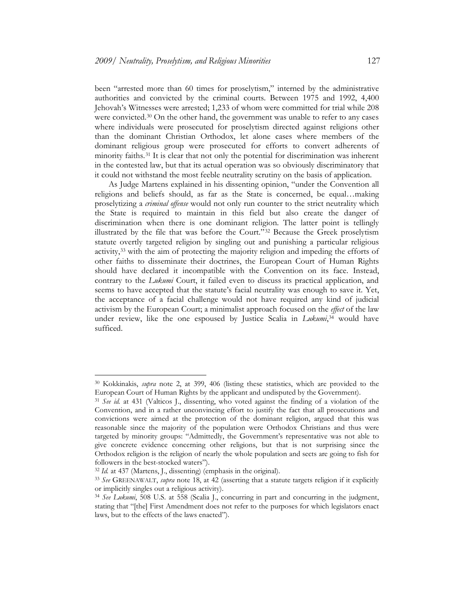been "arrested more than 60 times for proselytism," interned by the administrative authorities and convicted by the criminal courts. Between 1975 and 1992, 4,400 Jehovah's Witnesses were arrested; 1,233 of whom were committed for trial while 208 were convicted.<sup>[30](#page-8-0)</sup> On the other hand, the government was unable to refer to any cases where individuals were prosecuted for proselytism directed against religions other than the dominant Christian Orthodox, let alone cases where members of the dominant religious group were prosecuted for efforts to convert adherents of minority faiths.[31](#page-8-1) It is clear that not only the potential for discrimination was inherent in the contested law, but that its actual operation was so obviously discriminatory that it could not withstand the most feeble neutrality scrutiny on the basis of application.

As Judge Martens explained in his dissenting opinion, "under the Convention all religions and beliefs should, as far as the State is concerned, be equal…making proselytizing a *criminal offense* would not only run counter to the strict neutrality which the State is required to maintain in this field but also create the danger of discrimination when there is one dominant religion. The latter point is tellingly illustrated by the file that was before the Court." [32](#page-8-2) Because the Greek proselytism statute overtly targeted religion by singling out and punishing a particular religious activity,[33](#page-8-3) with the aim of protecting the majority religion and impeding the efforts of other faiths to disseminate their doctrines, the European Court of Human Rights should have declared it incompatible with the Convention on its face. Instead, contrary to the *Lukumi* Court, it failed even to discuss its practical application, and seems to have accepted that the statute's facial neutrality was enough to save it. Yet, the acceptance of a facial challenge would not have required any kind of judicial activism by the European Court; a minimalist approach focused on the *effect* of the law under review, like the one espoused by Justice Scalia in *Lukumi*,<sup>[34](#page-8-4)</sup> would have sufficed.

<span id="page-8-0"></span><sup>30</sup> Kokkinakis, *supra* note [2,](#page-1-2) at 399, 406 (listing these statistics, which are provided to the European Court of Human Rights by the applicant and undisputed by the Government).

<span id="page-8-1"></span><sup>31</sup> *See id.* at 431 (Valticos J., dissenting, who voted against the finding of a violation of the Convention, and in a rather unconvincing effort to justify the fact that all prosecutions and convictions were aimed at the protection of the dominant religion, argued that this was reasonable since the majority of the population were Orthodox Christians and thus were targeted by minority groups: "Admittedly, the Government's representative was not able to give concrete evidence concerning other religions, but that is not surprising since the Orthodox religion is the religion of nearly the whole population and sects are going to fish for followers in the best-stocked waters").<br><sup>32</sup> *Id.* at 437 (Martens, J., dissenting) (emphasis in the original).<br><sup>33</sup> *See* GREENAWALT, *supra* note [18,](#page-5-7) at 42 (asserting that a statute targets religion if it explicitly

<span id="page-8-3"></span><span id="page-8-2"></span>

or implicitly singles out a religious activity).

<span id="page-8-4"></span><sup>&</sup>lt;sup>34</sup> See Lukumi, 508 U.S. at 558 (Scalia J., concurring in part and concurring in the judgment, stating that "[the] First Amendment does not refer to the purposes for which legislators enact laws, but to the effects of the laws enacted").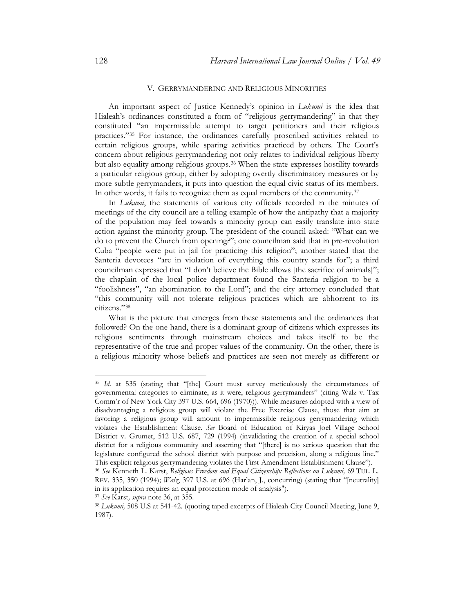#### <span id="page-9-0"></span>V. GERRYMANDERING AND RELIGIOUS MINORITIES

An important aspect of Justice Kennedy's opinion in *Lukumi* is the idea that Hialeah's ordinances constituted a form of "religious gerrymandering" in that they constituted "an impermissible attempt to target petitioners and their religious practices."[35](#page-9-1) For instance, the ordinances carefully proscribed activities related to certain religious groups, while sparing activities practiced by others. The Court's concern about religious gerrymandering not only relates to individual religious liberty but also equality among religious groups.<sup>[36](#page-9-2)</sup> When the state expresses hostility towards a particular religious group, either by adopting overtly discriminatory measures or by more subtle gerrymanders, it puts into question the equal civic status of its members. In other words, it fails to recognize them as equal members of the community.<sup>[37](#page-9-3)</sup>

In *Lukumi*, the statements of various city officials recorded in the minutes of meetings of the city council are a telling example of how the antipathy that a majority of the population may feel towards a minority group can easily translate into state action against the minority group. The president of the council asked: "What can we do to prevent the Church from opening?"; one councilman said that in pre-revolution Cuba "people were put in jail for practicing this religion"; another stated that the Santeria devotees "are in violation of everything this country stands for"; a third councilman expressed that "I don't believe the Bible allows [the sacrifice of animals]"; the chaplain of the local police department found the Santeria religion to be a "foolishness", "an abomination to the Lord"; and the city attorney concluded that "this community will not tolerate religious practices which are abhorrent to its citizens." [38](#page-9-4)

What is the picture that emerges from these statements and the ordinances that followed? On the one hand, there is a dominant group of citizens which expresses its religious sentiments through mainstream choices and takes itself to be the representative of the true and proper values of the community. On the other, there is a religious minority whose beliefs and practices are seen not merely as different or

<span id="page-9-1"></span><sup>&</sup>lt;sup>35</sup> *Id.* at 535 (stating that "[the] Court must survey meticulously the circumstances of governmental categories to eliminate, as it were, religious gerrymanders" (citing Walz v. Tax Comm'r of New York City 397 U.S. 664, 696 (1970))). While measures adopted with a view of disadvantaging a religious group will violate the Free Exercise Clause, those that aim at favoring a religious group will amount to impermissible religious gerrymandering which violates the Establishment Clause. *See* Board of Education of Kiryas Joel Village School District v. Grumet, 512 U.S. 687, 729 (1994) (invalidating the creation of a special school district for a religious community and asserting that "[there] is no serious question that the legislature configured the school district with purpose and precision, along a religious line." This explicit religious gerrymandering violates the First Amendment Establishment Clause"). 36 *See* Kenneth L. Karst, *Religious Freedom and Equal Citizenship: Reflections on Lukumi,* <sup>69</sup> TUL. L.

<span id="page-9-2"></span>REV. 335, 350 (1994); *Walz*, 397 U.S. at 696 (Harlan, J., concurring) (stating that "[neutrality] in its application requires an equal protection mode of analysis").

<span id="page-9-4"></span><span id="page-9-3"></span><sup>&</sup>lt;sup>37</sup> *See* Karst, *supra* note 36, at 355.<br><sup>38</sup> *Lukumi*, 508 U.S at 541-42. (quoting taped excerpts of Hialeah City Council Meeting, June 9, 1987).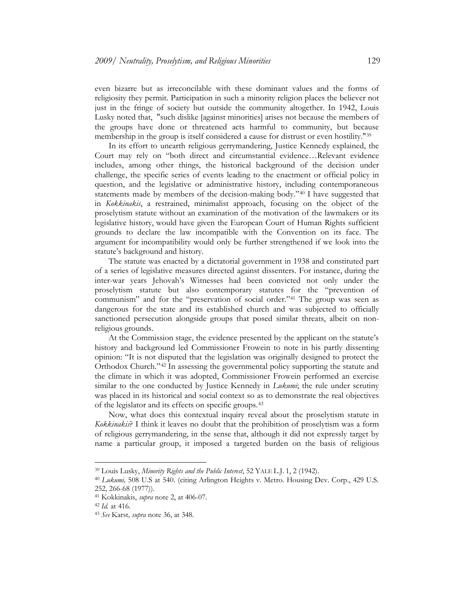even bizarre but as irreconcilable with these dominant values and the forms of religiosity they permit. Participation in such a minority religion places the believer not just in the fringe of society but outside the community altogether. In 1942, Louis Lusky noted that, "such dislike [against minorities] arises not because the members of the groups have done or threatened acts harmful to community, but because membership in the group is itself considered a cause for distrust or even hostility.["39](#page-10-0)

In its effort to unearth religious gerrymandering, Justice Kennedy explained, the Court may rely on "both direct and circumstantial evidence…Relevant evidence includes, among other things, the historical background of the decision under challenge, the specific series of events leading to the enactment or official policy in question, and the legislative or administrative history, including contemporaneous statements made by members of the decision-making body."<sup>[40](#page-10-1)</sup> I have suggested that in *Kokkinakis*, a restrained, minimalist approach, focusing on the object of the proselytism statute without an examination of the motivation of the lawmakers or its legislative history, would have given the European Court of Human Rights sufficient grounds to declare the law incompatible with the Convention on its face. The argument for incompatibility would only be further strengthened if we look into the statute's background and history.

The statute was enacted by a dictatorial government in 1938 and constituted part of a series of legislative measures directed against dissenters. For instance, during the inter-war years Jehovah's Witnesses had been convicted not only under the proselytism statute but also contemporary statutes for the "prevention of communism" and for the "preservation of social order." [41](#page-10-2) The group was seen as dangerous for the state and its established church and was subjected to officially sanctioned persecution alongside groups that posed similar threats, albeit on nonreligious grounds.

At the Commission stage, the evidence presented by the applicant on the statute's history and background led Commissioner Frowein to note in his partly dissenting opinion: "It is not disputed that the legislation was originally designed to protect the Orthodox Church." [42](#page-10-3) In assessing the governmental policy supporting the statute and the climate in which it was adopted, Commissioner Frowein performed an exercise similar to the one conducted by Justice Kennedy in *Lukumi*; the rule under scrutiny was placed in its historical and social context so as to demonstrate the real objectives of the legislator and its effects on specific groups.[43](#page-10-4)

Now, what does this contextual inquiry reveal about the proselytism statute in *Kokkinakis*? I think it leaves no doubt that the prohibition of proselytism was a form of religious gerrymandering, in the sense that, although it did not expressly target by name a particular group, it imposed a targeted burden on the basis of religious

<sup>39</sup> Louis Lusky, *Minority Rights and the Public Interest*, 52 YALE L.J. 1, 2 (1942).

<span id="page-10-1"></span><span id="page-10-0"></span><sup>40</sup> *Lukumi,* 508 U.S at 540. (citing Arlington Heights v. Metro. Housing Dev. Corp., 429 U.S. 252, 266-68 (1977)).

<span id="page-10-2"></span><sup>41</sup> Kokkinakis, *supra* note 2, at 406-07.

<span id="page-10-3"></span><sup>42</sup> *Id.* at 416.

<span id="page-10-4"></span><sup>43</sup> *See* Karst*, supra* note [36,](#page-9-0) at 348.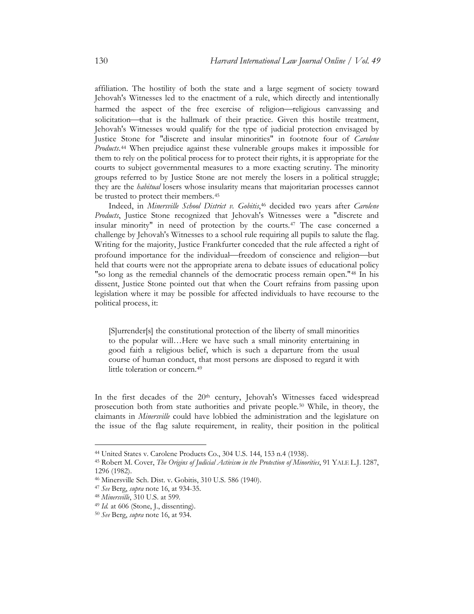affiliation. The hostility of both the state and a large segment of society toward Jehovah's Witnesses led to the enactment of a rule, which directly and intentionally harmed the aspect of the free exercise of religion-religious canvassing and solicitation-that is the hallmark of their practice. Given this hostile treatment, Jehovah's Witnesses would qualify for the type of judicial protection envisaged by Justice Stone for "discrete and insular minorities" in footnote four of *Carolene Products*.[44](#page-11-0) When prejudice against these vulnerable groups makes it impossible for them to rely on the political process for to protect their rights, it is appropriate for the courts to subject governmental measures to a more exacting scrutiny. The minority groups referred to by Justice Stone are not merely the losers in a political struggle; they are the *habitual* losers whose insularity means that majoritarian processes cannot be trusted to protect their members.<sup>[45](#page-11-1)</sup> Indeed, in *Minersville School District v. Gobitis*, [46](#page-11-2) decided two years after *Carolene* 

*Products*, Justice Stone recognized that Jehovah's Witnesses were a "discrete and insular minority" in need of protection by the courts.[47](#page-11-3) The case concerned a challenge by Jehovah's Witnesses to a school rule requiring all pupils to salute the flag. Writing for the majority, Justice Frankfurter conceded that the rule affected a right of profound importance for the individual—freedom of conscience and religion—but held that courts were not the appropriate arena to debate issues of educational policy "so long as the remedial channels of the democratic process remain open."[48](#page-11-4) In his dissent, Justice Stone pointed out that when the Court refrains from passing upon legislation where it may be possible for affected individuals to have recourse to the political process, it:

[S]urrender[s] the constitutional protection of the liberty of small minorities to the popular will…Here we have such a small minority entertaining in good faith a religious belief, which is such a departure from the usual course of human conduct, that most persons are disposed to regard it with little toleration or concern.<sup>[49](#page-11-5)</sup>

In the first decades of the 20<sup>th</sup> century, Jehovah's Witnesses faced widespread prosecution both from state authorities and private people.[50](#page-11-6) While, in theory, the claimants in *Minersville* could have lobbied the administration and the legislature on the issue of the flag salute requirement, in reality, their position in the political

<sup>44</sup> United States v. Carolene Products Co., 304 U.S. 144, 153 n.4 (1938).

<span id="page-11-1"></span><span id="page-11-0"></span><sup>45</sup> Robert M. Cover, *The Origins of Judicial Activism in the Protection of Minorities*, 91 YALE L.J. 1287, 1296 (1982).

<span id="page-11-2"></span><sup>46</sup> Minersville Sch. Dist. v. Gobitis, 310 U.S. 586 (1940).

<span id="page-11-3"></span><sup>47</sup> *See* Berg, *supra* note [16,](#page-5-8) at 934-35.

<span id="page-11-4"></span><sup>48</sup> *Minersville*, 310 U.S. at 599.

<span id="page-11-5"></span><sup>49</sup> *Id.* at 606 (Stone, J., dissenting).

<span id="page-11-6"></span><sup>50</sup> *See* Berg, *supra* note [16,](#page-5-8) at 934.